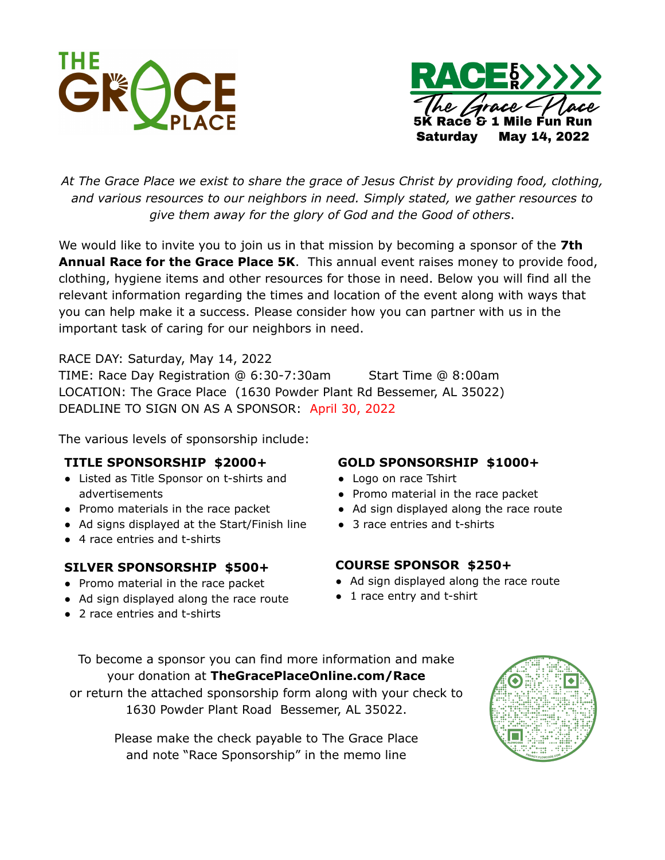



*At The Grace Place we exist to share the grace of Jesus Christ by providing food, clothing, and various resources to our neighbors in need. Simply stated, we gather resources to give them away for the glory of God and the Good of others*.

We would like to invite you to join us in that mission by becoming a sponsor of the **7th Annual Race for the Grace Place 5K**. This annual event raises money to provide food, clothing, hygiene items and other resources for those in need. Below you will find all the relevant information regarding the times and location of the event along with ways that you can help make it a success. Please consider how you can partner with us in the important task of caring for our neighbors in need.

RACE DAY: Saturday, May 14, 2022 TIME: Race Day Registration @ 6:30-7:30am Start Time @ 8:00am LOCATION: The Grace Place (1630 Powder Plant Rd Bessemer, AL 35022) DEADLINE TO SIGN ON AS A SPONSOR: April 30, 2022

The various levels of sponsorship include:

## **TITLE SPONSORSHIP \$2000+**

- Listed as Title Sponsor on t-shirts and advertisements
- Promo materials in the race packet
- Ad signs displayed at the Start/Finish line
- 4 race entries and t-shirts

## **SILVER SPONSORSHIP \$500+**

- Promo material in the race packet
- Ad sign displayed along the race route
- 2 race entries and t-shirts

## **GOLD SPONSORSHIP \$1000+**

- Logo on race Tshirt
- Promo material in the race packet
- Ad sign displayed along the race route
- 3 race entries and t-shirts

## **COURSE SPONSOR \$250+**

- Ad sign displayed along the race route
- 1 race entry and t-shirt

To become a sponsor you can find more information and make your donation at **TheGracePlaceOnline.com/Race** or return the attached sponsorship form along with your check to 1630 Powder Plant Road Bessemer, AL 35022.

> Please make the check payable to The Grace Place and note "Race Sponsorship" in the memo line